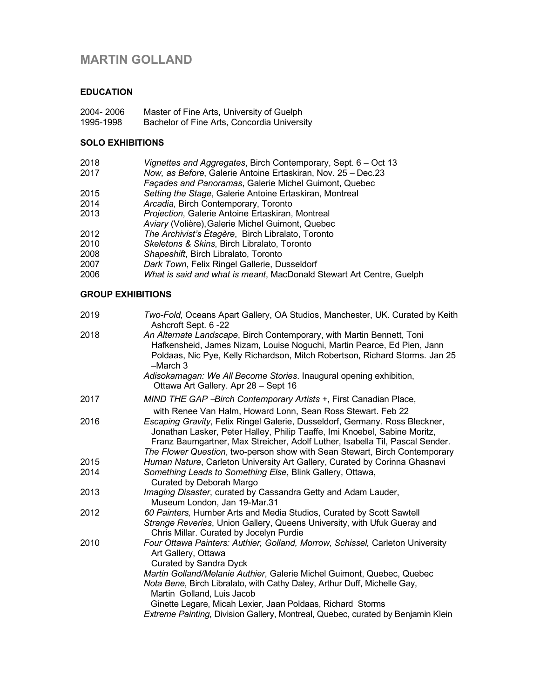# **MARTIN GOLLAND**

## **EDUCATION**

- 2004- 2006 Master of Fine Arts, University of Guelph
- 1995-1998 Bachelor of Fine Arts, Concordia University

## **SOLO EXHIBITIONS**

- 2018 *Vignettes and Aggregates*, Birch Contemporary, Sept. 6 Oct 13
- 2017 *Now, as Before*, Galerie Antoine Ertaskiran, Nov. 25 Dec.23
- *Façades and Panoramas*, Galerie Michel Guimont, Quebec
- 2015 *Setting the Stage*, Galerie Antoine Ertaskiran, Montreal
- Arcadia, Birch Contemporary, Toronto
- 2013 *Projection*, Galerie Antoine Ertaskiran, Montreal
- *Aviary* (Volière),Galerie Michel Guimont, Quebec
- 2012 *The Archivist's Étagère*, Birch Libralato, Toronto
- 2010 *Skeletons & Skins*, Birch Libralato, Toronto
- 2008 *Shapeshift*, Birch Libralato, Toronto
- 2007 *Dark Town*, Felix Ringel Gallerie, Dusseldorf
- 2006 *What is said and what is meant*, MacDonald Stewart Art Centre, Guelph

## **GROUP EXHIBITIONS**

| Two-Fold, Oceans Apart Gallery, OA Studios, Manchester, UK. Curated by Keith<br>Ashcroft Sept. 6-22                                                                                                                                        |
|--------------------------------------------------------------------------------------------------------------------------------------------------------------------------------------------------------------------------------------------|
| An Alternate Landscape, Birch Contemporary, with Martin Bennett, Toni<br>Hafkensheid, James Nizam, Louise Noguchi, Martin Pearce, Ed Pien, Jann<br>Poldaas, Nic Pye, Kelly Richardson, Mitch Robertson, Richard Storms. Jan 25<br>-March 3 |
| Adisokamagan: We All Become Stories. Inaugural opening exhibition,<br>Ottawa Art Gallery. Apr 28 - Sept 16                                                                                                                                 |
| MIND THE GAP - Birch Contemporary Artists +, First Canadian Place,                                                                                                                                                                         |
| with Renee Van Halm, Howard Lonn, Sean Ross Stewart. Feb 22                                                                                                                                                                                |
| Escaping Gravity, Felix Ringel Galerie, Dusseldorf, Germany. Ross Bleckner,<br>Jonathan Lasker, Peter Halley, Philip Taaffe, Imi Knoebel, Sabine Moritz,<br>Franz Baumgartner, Max Streicher, Adolf Luther, Isabella Til, Pascal Sender.   |
| The Flower Question, two-person show with Sean Stewart, Birch Contemporary                                                                                                                                                                 |
| Human Nature, Carleton University Art Gallery, Curated by Corinna Ghasnavi                                                                                                                                                                 |
| Something Leads to Something Else, Blink Gallery, Ottawa,<br>Curated by Deborah Margo                                                                                                                                                      |
| Imaging Disaster, curated by Cassandra Getty and Adam Lauder,<br>Museum London, Jan 19-Mar.31                                                                                                                                              |
| 60 Painters, Humber Arts and Media Studios, Curated by Scott Sawtell<br>Strange Reveries, Union Gallery, Queens University, with Ufuk Gueray and<br>Chris Millar. Curated by Jocelyn Purdie                                                |
| Four Ottawa Painters: Authier, Golland, Morrow, Schissel, Carleton University<br>Art Gallery, Ottawa<br><b>Curated by Sandra Dyck</b>                                                                                                      |
| Martin Golland/Melanie Authier, Galerie Michel Guimont, Quebec, Quebec                                                                                                                                                                     |
| Nota Bene, Birch Libralato, with Cathy Daley, Arthur Duff, Michelle Gay,<br>Martin Golland, Luis Jacob                                                                                                                                     |
| Ginette Legare, Micah Lexier, Jaan Poldaas, Richard Storms                                                                                                                                                                                 |
| Extreme Painting, Division Gallery, Montreal, Quebec, curated by Benjamin Klein                                                                                                                                                            |
|                                                                                                                                                                                                                                            |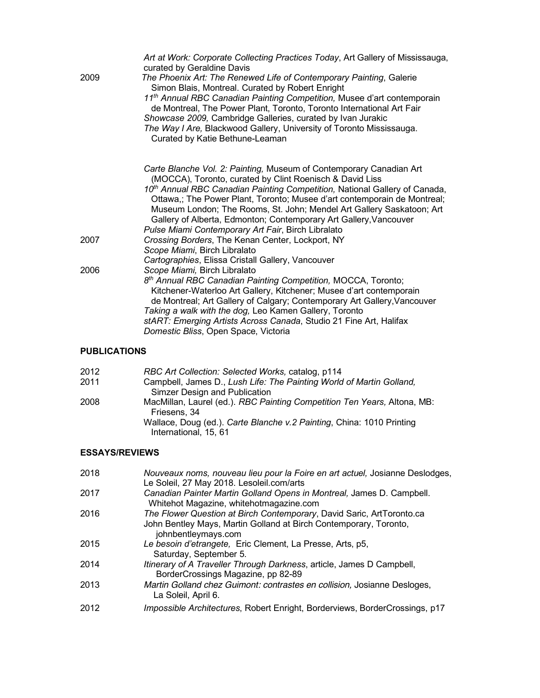|      | Art at Work: Corporate Collecting Practices Today, Art Gallery of Mississauga,<br>curated by Geraldine Davis                                                                                                                                                                                                                                                                                                                                                                                              |
|------|-----------------------------------------------------------------------------------------------------------------------------------------------------------------------------------------------------------------------------------------------------------------------------------------------------------------------------------------------------------------------------------------------------------------------------------------------------------------------------------------------------------|
| 2009 | The Phoenix Art: The Renewed Life of Contemporary Painting, Galerie<br>Simon Blais, Montreal. Curated by Robert Enright<br>11 <sup>th</sup> Annual RBC Canadian Painting Competition, Musee d'art contemporain<br>de Montreal, The Power Plant, Toronto, Toronto International Art Fair<br>Showcase 2009, Cambridge Galleries, curated by Ivan Jurakic<br>The Way I Are, Blackwood Gallery, University of Toronto Mississauga.<br>Curated by Katie Bethune-Leaman                                         |
|      | Carte Blanche Vol. 2: Painting, Museum of Contemporary Canadian Art<br>(MOCCA), Toronto, curated by Clint Roenisch & David Liss<br>10 <sup>th</sup> Annual RBC Canadian Painting Competition, National Gallery of Canada,<br>Ottawa,; The Power Plant, Toronto; Musee d'art contemporain de Montreal;<br>Museum London; The Rooms, St. John; Mendel Art Gallery Saskatoon; Art<br>Gallery of Alberta, Edmonton; Contemporary Art Gallery, Vancouver<br>Pulse Miami Contemporary Art Fair, Birch Libralato |
| 2007 | Crossing Borders, The Kenan Center, Lockport, NY<br>Scope Miami, Birch Libralato                                                                                                                                                                                                                                                                                                                                                                                                                          |
|      | Cartographies, Elissa Cristall Gallery, Vancouver                                                                                                                                                                                                                                                                                                                                                                                                                                                         |
| 2006 | Scope Miami, Birch Libralato<br>8 <sup>th</sup> Annual RBC Canadian Painting Competition, MOCCA, Toronto;<br>Kitchener-Waterloo Art Gallery, Kitchener; Musee d'art contemporain<br>de Montreal; Art Gallery of Calgary; Contemporary Art Gallery, Vancouver<br>Taking a walk with the dog, Leo Kamen Gallery, Toronto<br>stART: Emerging Artists Across Canada, Studio 21 Fine Art, Halifax<br>Domestic Bliss, Open Space, Victoria                                                                      |
|      |                                                                                                                                                                                                                                                                                                                                                                                                                                                                                                           |

# **PUBLICATIONS**

| Campbell, James D., Lush Life: The Painting World of Martin Golland,<br>2011<br>Simzer Design and Publication<br>2008<br>Friesens, 34<br>Wallace, Doug (ed.). Carte Blanche v.2 Painting, China: 1010 Printing<br>International, 15, 61 | 2012 | RBC Art Collection: Selected Works, catalog, p114                        |
|-----------------------------------------------------------------------------------------------------------------------------------------------------------------------------------------------------------------------------------------|------|--------------------------------------------------------------------------|
|                                                                                                                                                                                                                                         |      |                                                                          |
|                                                                                                                                                                                                                                         |      | MacMillan, Laurel (ed.). RBC Painting Competition Ten Years, Altona, MB: |
|                                                                                                                                                                                                                                         |      |                                                                          |

## **ESSAYS/REVIEWS**

| 2018 | Nouveaux noms, nouveau lieu pour la Foire en art actuel, Josianne Deslodges,<br>Le Soleil, 27 May 2018. Lesoleil.com/arts                                         |
|------|-------------------------------------------------------------------------------------------------------------------------------------------------------------------|
| 2017 | Canadian Painter Martin Golland Opens in Montreal, James D. Campbell.<br>Whitehot Magazine, whitehotmagazine.com                                                  |
| 2016 | The Flower Question at Birch Contemporary, David Saric, ArtToronto.ca<br>John Bentley Mays, Martin Golland at Birch Contemporary, Toronto,<br>johnbentleymays.com |
| 2015 | Le besoin d'etrangete, Eric Clement, La Presse, Arts, p5,<br>Saturday, September 5.                                                                               |
| 2014 | Itinerary of A Traveller Through Darkness, article, James D Campbell,<br>BorderCrossings Magazine, pp 82-89                                                       |
| 2013 | Martin Golland chez Guimont: contrastes en collision, Josianne Desloges,<br>La Soleil, April 6.                                                                   |
| 2012 | Impossible Architectures, Robert Enright, Borderviews, BorderCrossings, p17                                                                                       |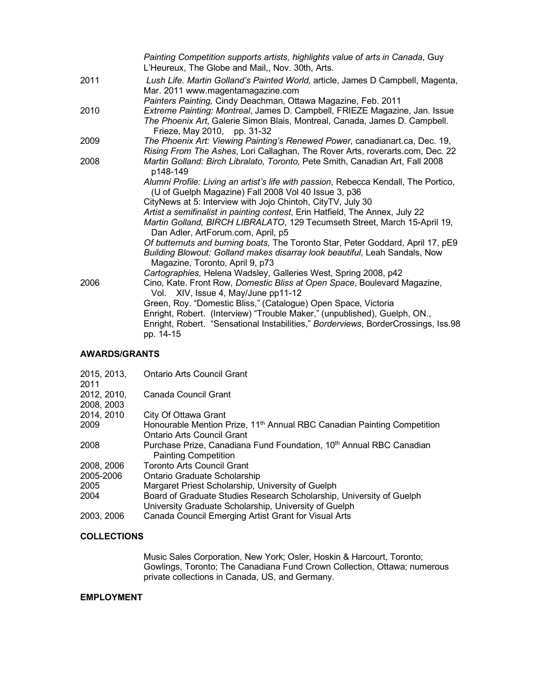|      | Painting Competition supports artists, highlights value of arts in Canada, Guy<br>L'Heureux, The Globe and Mail,, Nov. 30th, Arts.                                                      |
|------|-----------------------------------------------------------------------------------------------------------------------------------------------------------------------------------------|
| 2011 | Lush Life. Martin Golland's Painted World, article, James D Campbell, Magenta,<br>Mar. 2011 www.magentamagazine.com                                                                     |
|      | Painters Painting, Cindy Deachman, Ottawa Magazine, Feb. 2011                                                                                                                           |
| 2010 | Extreme Painting: Montreal, James D. Campbell, FRIEZE Magazine, Jan. Issue<br>The Phoenix Art, Galerie Simon Blais, Montreal, Canada, James D. Campbell.<br>Frieze, May 2010, pp. 31-32 |
| 2009 | The Phoenix Art: Viewing Painting's Renewed Power, canadianart.ca, Dec. 19,<br>Rising From The Ashes, Lori Callaghan, The Rover Arts, roverarts.com, Dec. 22                            |
| 2008 | Martin Golland: Birch Libralato, Toronto, Pete Smith, Canadian Art, Fall 2008<br>p148-149                                                                                               |
|      | Alumni Profile: Living an artist's life with passion, Rebecca Kendall, The Portico,<br>(U of Guelph Magazine) Fall 2008 Vol 40 Issue 3, p36                                             |
|      | CityNews at 5: Interview with Jojo Chintoh, CityTV, July 30                                                                                                                             |
|      | Artist a semifinalist in painting contest, Erin Hatfield, The Annex, July 22                                                                                                            |
|      | Martin Golland, BIRCH LIBRALATO, 129 Tecumseth Street, March 15-April 19,<br>Dan Adler, ArtForum.com, April, p5                                                                         |
|      | Of butternuts and burning boats, The Toronto Star, Peter Goddard, April 17, pE9                                                                                                         |
|      | Building Blowout: Golland makes disarray look beautiful, Leah Sandals, Now<br>Magazine, Toronto, April 9, p73                                                                           |
|      | Cartographies, Helena Wadsley, Galleries West, Spring 2008, p42                                                                                                                         |
| 2006 | Cino, Kate. Front Row, Domestic Bliss at Open Space, Boulevard Magazine,<br>Vol. XIV, Issue 4, May/June pp11-12                                                                         |
|      | Green, Roy. "Domestic Bliss," (Catalogue) Open Space, Victoria                                                                                                                          |
|      | Enright, Robert. (Interview) "Trouble Maker," (unpublished), Guelph, ON.,<br>Enright, Robert. "Sensational Instabilities," Borderviews, BorderCrossings, Iss.98<br>pp. 14-15            |
|      |                                                                                                                                                                                         |

## **AWARDS/GRANTS**

| 2015, 2013,<br>2011 | <b>Ontario Arts Council Grant</b>                                                                                             |
|---------------------|-------------------------------------------------------------------------------------------------------------------------------|
| 2012, 2010,         | Canada Council Grant                                                                                                          |
| 2008, 2003          |                                                                                                                               |
| 2014, 2010          | City Of Ottawa Grant                                                                                                          |
| 2009                | Honourable Mention Prize, 11 <sup>th</sup> Annual RBC Canadian Painting Competition                                           |
|                     | Ontario Arts Council Grant                                                                                                    |
| 2008                | Purchase Prize, Canadiana Fund Foundation, 10 <sup>th</sup> Annual RBC Canadian<br><b>Painting Competition</b>                |
| 2008, 2006          | <b>Toronto Arts Council Grant</b>                                                                                             |
| 2005-2006           | Ontario Graduate Scholarship                                                                                                  |
| 2005                | Margaret Priest Scholarship, University of Guelph                                                                             |
| 2004                | Board of Graduate Studies Research Scholarship, University of Guelph<br>University Graduate Scholarship, University of Guelph |
| 2003, 2006          | Canada Council Emerging Artist Grant for Visual Arts                                                                          |

## **COLLECTIONS**

Music Sales Corporation, New York; Osler, Hoskin & Harcourt, Toronto; Gowlings, Toronto; The Canadiana Fund Crown Collection, Ottawa; numerous private collections in Canada, US, and Germany.

### **EMPLOYMENT**